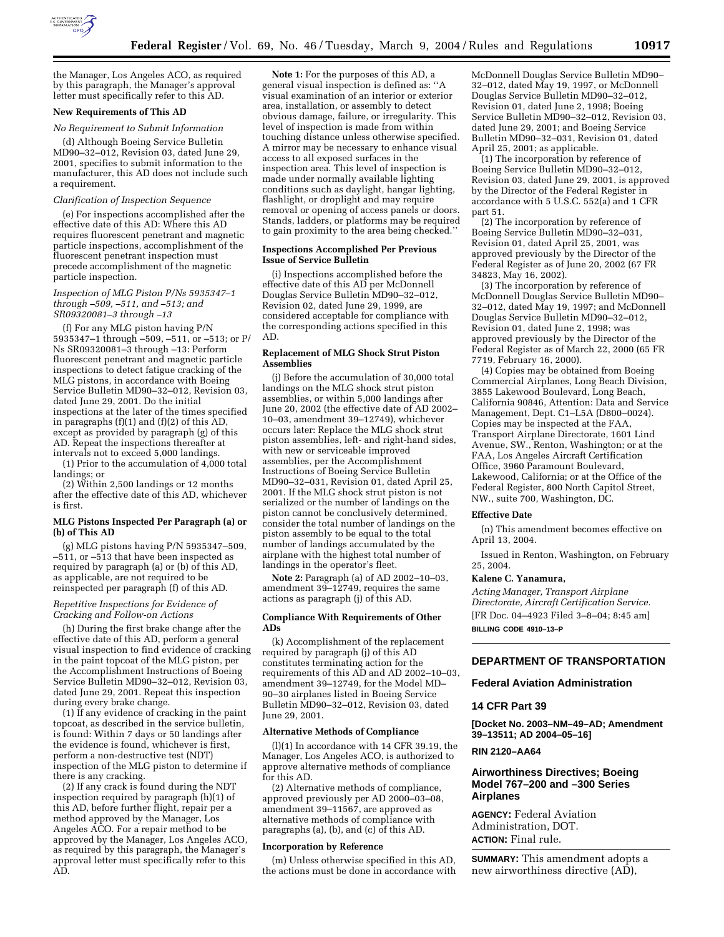

the Manager, Los Angeles ACO, as required by this paragraph, the Manager's approval letter must specifically refer to this AD.

## **New Requirements of This AD**

#### *No Requirement to Submit Information*

(d) Although Boeing Service Bulletin MD90–32–012, Revision 03, dated June 29, 2001, specifies to submit information to the manufacturer, this AD does not include such a requirement.

# *Clarification of Inspection Sequence*

(e) For inspections accomplished after the effective date of this AD: Where this AD requires fluorescent penetrant and magnetic particle inspections, accomplishment of the fluorescent penetrant inspection must precede accomplishment of the magnetic particle inspection.

#### *Inspection of MLG Piston P/Ns 5935347–1 through –509, –511, and –513; and SR09320081–3 through –13*

(f) For any MLG piston having P/N 5935347–1 through –509, –511, or –513; or P/ Ns SR09320081–3 through –13: Perform fluorescent penetrant and magnetic particle inspections to detect fatigue cracking of the MLG pistons, in accordance with Boeing Service Bulletin MD90–32–012, Revision 03, dated June 29, 2001. Do the initial inspections at the later of the times specified in paragraphs  $(f)(1)$  and  $(f)(2)$  of this  $AD$ , except as provided by paragraph (g) of this AD. Repeat the inspections thereafter at intervals not to exceed 5,000 landings.

(1) Prior to the accumulation of 4,000 total landings; or

(2) Within 2,500 landings or 12 months after the effective date of this AD, whichever is first.

## **MLG Pistons Inspected Per Paragraph (a) or (b) of This AD**

(g) MLG pistons having P/N 5935347–509, –511, or –513 that have been inspected as required by paragraph (a) or (b) of this AD, as applicable, are not required to be reinspected per paragraph (f) of this AD.

## *Repetitive Inspections for Evidence of Cracking and Follow-on Actions*

(h) During the first brake change after the effective date of this AD, perform a general visual inspection to find evidence of cracking in the paint topcoat of the MLG piston, per the Accomplishment Instructions of Boeing Service Bulletin MD90–32–012, Revision 03, dated June 29, 2001. Repeat this inspection during every brake change.

(1) If any evidence of cracking in the paint topcoat, as described in the service bulletin, is found: Within 7 days or 50 landings after the evidence is found, whichever is first, perform a non-destructive test (NDT) inspection of the MLG piston to determine if there is any cracking.

(2) If any crack is found during the NDT inspection required by paragraph (h)(1) of this AD, before further flight, repair per a method approved by the Manager, Los Angeles ACO. For a repair method to be approved by the Manager, Los Angeles ACO, as required by this paragraph, the Manager's approval letter must specifically refer to this AD.

**Note 1:** For the purposes of this AD, a general visual inspection is defined as: ''A visual examination of an interior or exterior area, installation, or assembly to detect obvious damage, failure, or irregularity. This level of inspection is made from within touching distance unless otherwise specified. A mirror may be necessary to enhance visual access to all exposed surfaces in the inspection area. This level of inspection is made under normally available lighting conditions such as daylight, hangar lighting, flashlight, or droplight and may require removal or opening of access panels or doors. Stands, ladders, or platforms may be required to gain proximity to the area being checked.''

#### **Inspections Accomplished Per Previous Issue of Service Bulletin**

(i) Inspections accomplished before the effective date of this AD per McDonnell Douglas Service Bulletin MD90–32–012, Revision 02, dated June 29, 1999, are considered acceptable for compliance with the corresponding actions specified in this AD.

## **Replacement of MLG Shock Strut Piston Assemblies**

(j) Before the accumulation of 30,000 total landings on the MLG shock strut piston assemblies, or within 5,000 landings after June 20, 2002 (the effective date of AD 2002– 10–03, amendment 39–12749), whichever occurs later: Replace the MLG shock strut piston assemblies, left- and right-hand sides, with new or serviceable improved assemblies, per the Accomplishment Instructions of Boeing Service Bulletin MD90–32–031, Revision 01, dated April 25, 2001. If the MLG shock strut piston is not serialized or the number of landings on the piston cannot be conclusively determined, consider the total number of landings on the piston assembly to be equal to the total number of landings accumulated by the airplane with the highest total number of landings in the operator's fleet.

**Note 2:** Paragraph (a) of AD 2002–10–03, amendment 39–12749, requires the same actions as paragraph (j) of this AD.

## **Compliance With Requirements of Other ADs**

(k) Accomplishment of the replacement required by paragraph (j) of this AD constitutes terminating action for the requirements of this AD and AD 2002–10–03, amendment 39–12749, for the Model MD– 90–30 airplanes listed in Boeing Service Bulletin MD90–32–012, Revision 03, dated June 29, 2001.

#### **Alternative Methods of Compliance**

(l)(1) In accordance with 14 CFR 39.19, the Manager, Los Angeles ACO, is authorized to approve alternative methods of compliance for this AD.

(2) Alternative methods of compliance, approved previously per AD 2000–03–08, amendment 39–11567, are approved as alternative methods of compliance with paragraphs (a), (b), and (c) of this AD.

#### **Incorporation by Reference**

(m) Unless otherwise specified in this AD, the actions must be done in accordance with McDonnell Douglas Service Bulletin MD90– 32–012, dated May 19, 1997, or McDonnell Douglas Service Bulletin MD90–32–012, Revision 01, dated June 2, 1998; Boeing Service Bulletin MD90–32–012, Revision 03, dated June 29, 2001; and Boeing Service Bulletin MD90–32–031, Revision 01, dated April 25, 2001; as applicable.

(1) The incorporation by reference of Boeing Service Bulletin MD90–32–012, Revision 03, dated June 29, 2001, is approved by the Director of the Federal Register in accordance with 5 U.S.C. 552(a) and 1 CFR part 51.

(2) The incorporation by reference of Boeing Service Bulletin MD90–32–031, Revision 01, dated April 25, 2001, was approved previously by the Director of the Federal Register as of June 20, 2002 (67 FR 34823, May 16, 2002).

(3) The incorporation by reference of McDonnell Douglas Service Bulletin MD90– 32–012, dated May 19, 1997; and McDonnell Douglas Service Bulletin MD90–32–012, Revision 01, dated June 2, 1998; was approved previously by the Director of the Federal Register as of March 22, 2000 (65 FR 7719, February 16, 2000).

(4) Copies may be obtained from Boeing Commercial Airplanes, Long Beach Division, 3855 Lakewood Boulevard, Long Beach, California 90846, Attention: Data and Service Management, Dept. C1–L5A (D800–0024). Copies may be inspected at the FAA, Transport Airplane Directorate, 1601 Lind Avenue, SW., Renton, Washington; or at the FAA, Los Angeles Aircraft Certification Office, 3960 Paramount Boulevard, Lakewood, California; or at the Office of the Federal Register, 800 North Capitol Street, NW., suite 700, Washington, DC.

#### **Effective Date**

(n) This amendment becomes effective on April 13, 2004.

Issued in Renton, Washington, on February 25, 2004.

#### **Kalene C. Yanamura,**

*Acting Manager, Transport Airplane Directorate, Aircraft Certification Service.* [FR Doc. 04–4923 Filed 3–8–04; 8:45 am] **BILLING CODE 4910–13–P**

## **DEPARTMENT OF TRANSPORTATION**

## **Federal Aviation Administration**

## **14 CFR Part 39**

**[Docket No. 2003–NM–49–AD; Amendment 39–13511; AD 2004–05–16]** 

## **RIN 2120–AA64**

# **Airworthiness Directives; Boeing Model 767–200 and –300 Series Airplanes**

**AGENCY:** Federal Aviation Administration, DOT. **ACTION:** Final rule.

**SUMMARY:** This amendment adopts a new airworthiness directive (AD),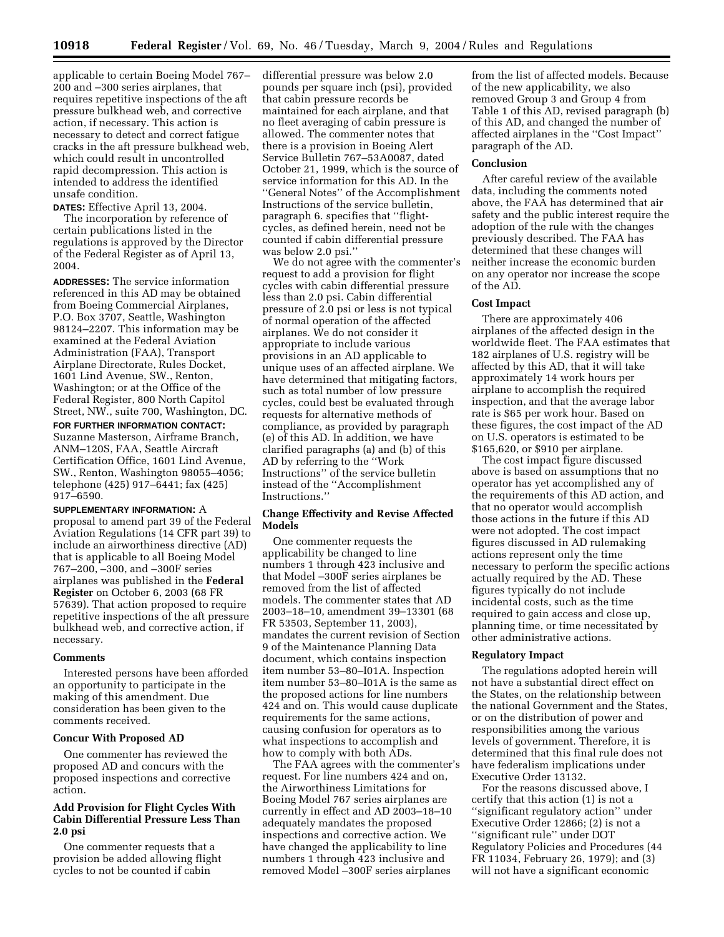applicable to certain Boeing Model 767– 200 and –300 series airplanes, that requires repetitive inspections of the aft pressure bulkhead web, and corrective action, if necessary. This action is necessary to detect and correct fatigue cracks in the aft pressure bulkhead web, which could result in uncontrolled rapid decompression. This action is intended to address the identified unsafe condition.

**DATES:** Effective April 13, 2004.

The incorporation by reference of certain publications listed in the regulations is approved by the Director of the Federal Register as of April 13, 2004.

**ADDRESSES:** The service information referenced in this AD may be obtained from Boeing Commercial Airplanes, P.O. Box 3707, Seattle, Washington 98124–2207. This information may be examined at the Federal Aviation Administration (FAA), Transport Airplane Directorate, Rules Docket, 1601 Lind Avenue, SW., Renton, Washington; or at the Office of the Federal Register, 800 North Capitol Street, NW., suite 700, Washington, DC.

**FOR FURTHER INFORMATION CONTACT:** Suzanne Masterson, Airframe Branch, ANM–120S, FAA, Seattle Aircraft Certification Office, 1601 Lind Avenue, SW., Renton, Washington 98055–4056; telephone (425) 917–6441; fax (425) 917–6590.

**SUPPLEMENTARY INFORMATION:** A proposal to amend part 39 of the Federal Aviation Regulations (14 CFR part 39) to include an airworthiness directive (AD) that is applicable to all Boeing Model 767–200, –300, and –300F series airplanes was published in the **Federal Register** on October 6, 2003 (68 FR 57639). That action proposed to require repetitive inspections of the aft pressure bulkhead web, and corrective action, if necessary.

#### **Comments**

Interested persons have been afforded an opportunity to participate in the making of this amendment. Due consideration has been given to the comments received.

#### **Concur With Proposed AD**

One commenter has reviewed the proposed AD and concurs with the proposed inspections and corrective action.

# **Add Provision for Flight Cycles With Cabin Differential Pressure Less Than 2.0 psi**

One commenter requests that a provision be added allowing flight cycles to not be counted if cabin

differential pressure was below 2.0 pounds per square inch (psi), provided that cabin pressure records be maintained for each airplane, and that no fleet averaging of cabin pressure is allowed. The commenter notes that there is a provision in Boeing Alert Service Bulletin 767–53A0087, dated October 21, 1999, which is the source of service information for this AD. In the ''General Notes'' of the Accomplishment Instructions of the service bulletin, paragraph 6. specifies that ''flightcycles, as defined herein, need not be counted if cabin differential pressure was below 2.0 psi.''

We do not agree with the commenter's request to add a provision for flight cycles with cabin differential pressure less than 2.0 psi. Cabin differential pressure of 2.0 psi or less is not typical of normal operation of the affected airplanes. We do not consider it appropriate to include various provisions in an AD applicable to unique uses of an affected airplane. We have determined that mitigating factors, such as total number of low pressure cycles, could best be evaluated through requests for alternative methods of compliance, as provided by paragraph (e) of this AD. In addition, we have clarified paragraphs (a) and (b) of this AD by referring to the ''Work Instructions'' of the service bulletin instead of the ''Accomplishment Instructions.''

## **Change Effectivity and Revise Affected Models**

One commenter requests the applicability be changed to line numbers 1 through 423 inclusive and that Model –300F series airplanes be removed from the list of affected models. The commenter states that AD 2003–18–10, amendment 39–13301 (68 FR 53503, September 11, 2003), mandates the current revision of Section 9 of the Maintenance Planning Data document, which contains inspection item number 53–80–I01A. Inspection item number 53–80–I01A is the same as the proposed actions for line numbers 424 and on. This would cause duplicate requirements for the same actions, causing confusion for operators as to what inspections to accomplish and how to comply with both ADs.

The FAA agrees with the commenter's request. For line numbers 424 and on, the Airworthiness Limitations for Boeing Model 767 series airplanes are currently in effect and AD 2003–18–10 adequately mandates the proposed inspections and corrective action. We have changed the applicability to line numbers 1 through 423 inclusive and removed Model –300F series airplanes

from the list of affected models. Because of the new applicability, we also removed Group 3 and Group 4 from Table 1 of this AD, revised paragraph (b) of this AD, and changed the number of affected airplanes in the ''Cost Impact'' paragraph of the AD.

#### **Conclusion**

After careful review of the available data, including the comments noted above, the FAA has determined that air safety and the public interest require the adoption of the rule with the changes previously described. The FAA has determined that these changes will neither increase the economic burden on any operator nor increase the scope of the AD.

# **Cost Impact**

There are approximately 406 airplanes of the affected design in the worldwide fleet. The FAA estimates that 182 airplanes of U.S. registry will be affected by this AD, that it will take approximately 14 work hours per airplane to accomplish the required inspection, and that the average labor rate is \$65 per work hour. Based on these figures, the cost impact of the AD on U.S. operators is estimated to be \$165,620, or \$910 per airplane.

The cost impact figure discussed above is based on assumptions that no operator has yet accomplished any of the requirements of this AD action, and that no operator would accomplish those actions in the future if this AD were not adopted. The cost impact figures discussed in AD rulemaking actions represent only the time necessary to perform the specific actions actually required by the AD. These figures typically do not include incidental costs, such as the time required to gain access and close up, planning time, or time necessitated by other administrative actions.

## **Regulatory Impact**

The regulations adopted herein will not have a substantial direct effect on the States, on the relationship between the national Government and the States, or on the distribution of power and responsibilities among the various levels of government. Therefore, it is determined that this final rule does not have federalism implications under Executive Order 13132.

For the reasons discussed above, I certify that this action (1) is not a ''significant regulatory action'' under Executive Order 12866; (2) is not a ''significant rule'' under DOT Regulatory Policies and Procedures (44 FR 11034, February 26, 1979); and (3) will not have a significant economic